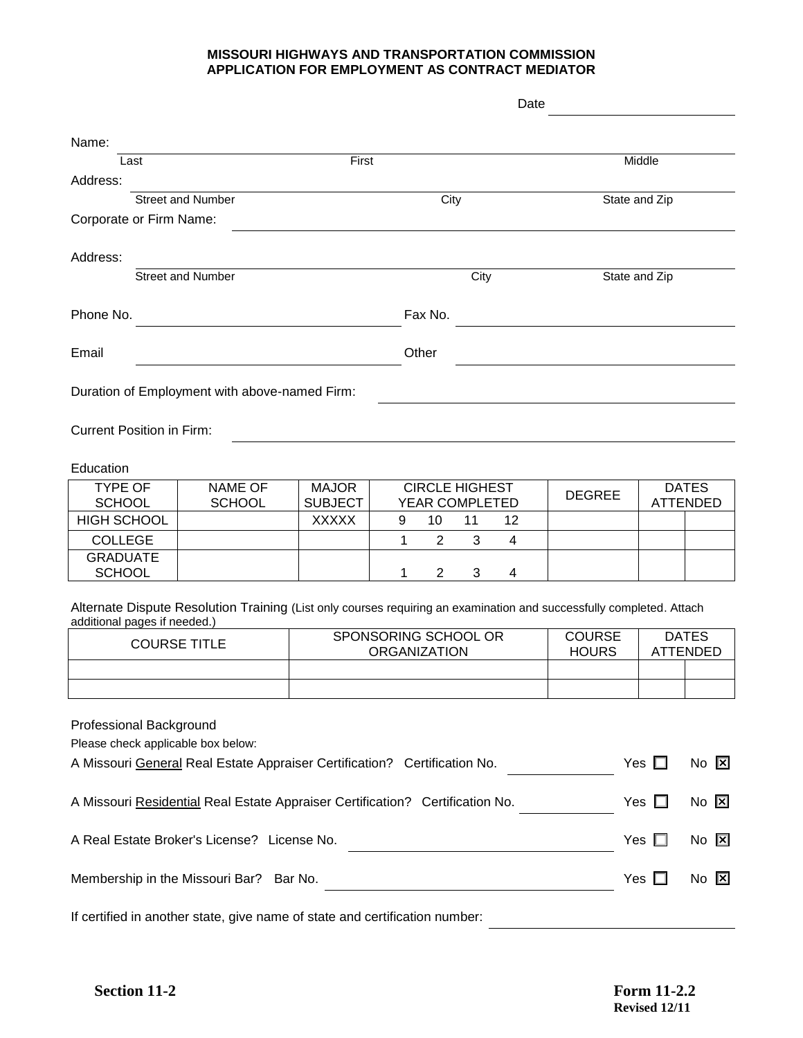## **MISSOURI HIGHWAYS AND TRANSPORTATION COMMISSION APPLICATION FOR EMPLOYMENT AS CONTRACT MEDIATOR**

|                                                                                            |                                                                                                                      | Date                           |       |                |                       |                |                               |               |                                 |  |
|--------------------------------------------------------------------------------------------|----------------------------------------------------------------------------------------------------------------------|--------------------------------|-------|----------------|-----------------------|----------------|-------------------------------|---------------|---------------------------------|--|
| Name:                                                                                      |                                                                                                                      |                                |       |                |                       |                |                               |               |                                 |  |
| Last                                                                                       |                                                                                                                      | First                          |       |                |                       |                |                               | Middle        |                                 |  |
| Address:                                                                                   |                                                                                                                      |                                |       |                |                       |                |                               |               |                                 |  |
|                                                                                            | <b>Street and Number</b>                                                                                             |                                |       | City           |                       |                |                               | State and Zip |                                 |  |
| Corporate or Firm Name:                                                                    |                                                                                                                      |                                |       |                |                       |                |                               |               |                                 |  |
| Address:                                                                                   |                                                                                                                      |                                |       |                |                       |                |                               |               |                                 |  |
|                                                                                            | <b>Street and Number</b>                                                                                             |                                |       |                | City                  |                |                               | State and Zip |                                 |  |
| Phone No.                                                                                  |                                                                                                                      |                                |       | Fax No.        |                       |                |                               |               |                                 |  |
| Email                                                                                      |                                                                                                                      |                                | Other |                |                       |                |                               |               |                                 |  |
|                                                                                            |                                                                                                                      |                                |       |                |                       |                |                               |               |                                 |  |
|                                                                                            | Duration of Employment with above-named Firm:                                                                        |                                |       |                |                       |                |                               |               |                                 |  |
| <b>Current Position in Firm:</b>                                                           |                                                                                                                      |                                |       |                |                       |                |                               |               |                                 |  |
|                                                                                            |                                                                                                                      |                                |       |                |                       |                |                               |               |                                 |  |
| Education                                                                                  |                                                                                                                      |                                |       |                |                       |                |                               |               |                                 |  |
| <b>TYPE OF</b><br><b>SCHOOL</b>                                                            | <b>NAME OF</b>                                                                                                       | <b>MAJOR</b><br><b>SUBJECT</b> |       |                | <b>CIRCLE HIGHEST</b> |                | <b>DEGREE</b>                 |               | <b>DATES</b><br><b>ATTENDED</b> |  |
| <b>HIGH SCHOOL</b>                                                                         | <b>SCHOOL</b>                                                                                                        | <b>XXXXX</b>                   | 9     | 10             | YEAR COMPLETED<br>11  | 12             |                               |               |                                 |  |
| <b>COLLEGE</b>                                                                             |                                                                                                                      |                                | 1     | 2              | 3                     | $\overline{4}$ |                               |               |                                 |  |
| <b>GRADUATE</b><br><b>SCHOOL</b>                                                           |                                                                                                                      |                                | 1     | $\overline{2}$ | 3                     | 4              |                               |               |                                 |  |
|                                                                                            |                                                                                                                      |                                |       |                |                       |                |                               |               |                                 |  |
| additional pages if needed.)                                                               | Alternate Dispute Resolution Training (List only courses requiring an examination and successfully completed. Attach |                                |       |                |                       |                |                               |               |                                 |  |
| <b>COURSE TITLE</b>                                                                        |                                                                                                                      | SPONSORING SCHOOL OR           |       |                |                       |                | <b>COURSE</b><br><b>DATES</b> |               |                                 |  |
|                                                                                            |                                                                                                                      | <b>ORGANIZATION</b>            |       |                |                       | <b>HOURS</b>   |                               |               | <b>ATTENDED</b>                 |  |
|                                                                                            |                                                                                                                      |                                |       |                |                       |                |                               |               |                                 |  |
| Professional Background                                                                    |                                                                                                                      |                                |       |                |                       |                |                               |               |                                 |  |
| Please check applicable box below:                                                         |                                                                                                                      |                                |       |                |                       |                |                               |               |                                 |  |
| A Missouri General Real Estate Appraiser Certification? Certification No.<br>Yes $\square$ |                                                                                                                      |                                |       |                | $No$ $\boxtimes$      |                |                               |               |                                 |  |
| A Missouri Residential Real Estate Appraiser Certification? Certification No.              |                                                                                                                      |                                |       |                | Yes $\Box$            |                | $No$ $\boxed{\times}$         |               |                                 |  |
| A Real Estate Broker's License? License No.                                                |                                                                                                                      |                                |       |                | Yes $\Box$            |                | No $\boxtimes$                |               |                                 |  |
| Membership in the Missouri Bar? Bar No.                                                    |                                                                                                                      |                                |       |                | Yes $\square$         |                | $No$ $\Sigma$                 |               |                                 |  |
| If certified in another state, give name of state and certification number:                |                                                                                                                      |                                |       |                |                       |                |                               |               |                                 |  |